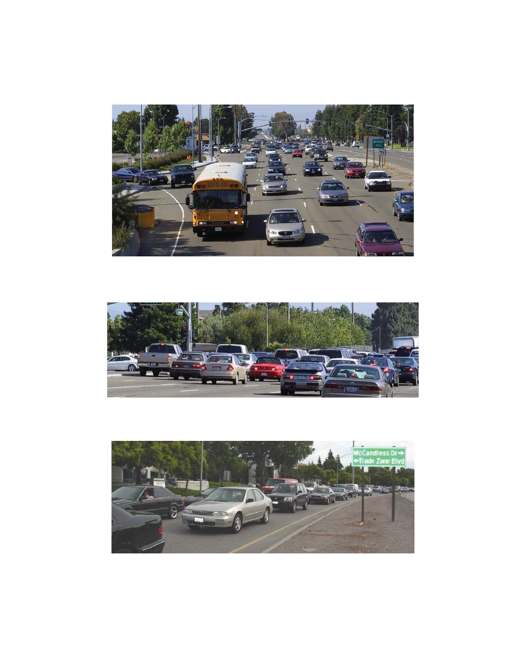



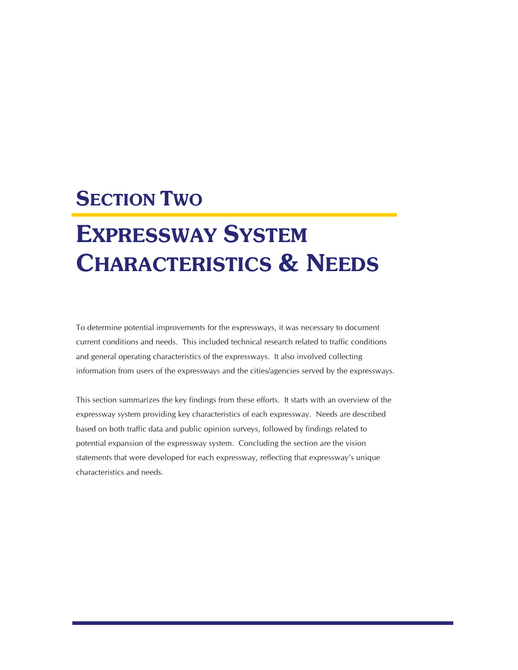# **SECTION TWO**

# EXPRESSWAY SYSTEM CHARACTERISTICS & NEEDS

To determine potential improvements for the expressways, it was necessary to document current conditions and needs. This included technical research related to traffic conditions and general operating characteristics of the expressways. It also involved collecting information from users of the expressways and the cities/agencies served by the expressways.

This section summarizes the key findings from these efforts. It starts with an overview of the expressway system providing key characteristics of each expressway. Needs are described based on both traffic data and public opinion surveys, followed by findings related to potential expansion of the expressway system. Concluding the section are the vision statements that were developed for each expressway, reflecting that expressway's unique characteristics and needs.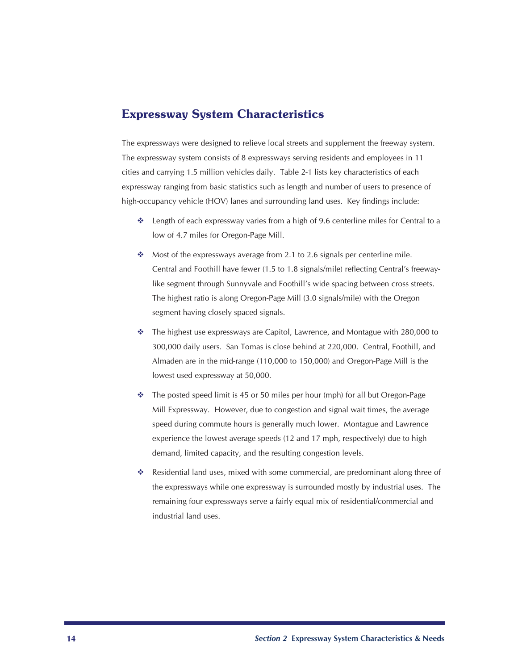# Expressway System Characteristics

The expressways were designed to relieve local streets and supplement the freeway system. The expressway system consists of 8 expressways serving residents and employees in 11 cities and carrying 1.5 million vehicles daily. Table 2-1 lists key characteristics of each expressway ranging from basic statistics such as length and number of users to presence of high-occupancy vehicle (HOV) lanes and surrounding land uses. Key findings include:

- **Example 1** Length of each express way varies from a high of 9.6 centerline miles for Central to a low of 4.7 miles for Oregon-Page Mill.
- $\bullet$  Most of the expressways average from 2.1 to 2.6 signals per centerline mile. Central and Foothill have fewer (1.5 to 1.8 signals/mile) reflecting Central's freewaylike segment through Sunnyvale and Foothill's wide spacing between cross streets. The highest ratio is along Oregon-Page Mill (3.0 signals/mile) with the Oregon segment having closely spaced signals.
- $\cdot \cdot$  The highest use expressways are Capitol, Lawrence, and Montague with 280,000 to 300,000 daily users. San Tomas is close behind at 220,000. Central, Foothill, and Almaden are in the mid-range (110,000 to 150,000) and Oregon-Page Mill is the lowest used expressway at 50,000.
- The posted speed limit is 45 or 50 miles per hour (mph) for all but Oregon-Page Mill Expressway. However, due to congestion and signal wait times, the average speed during commute hours is generally much lower. Montague and Lawrence experience the lowest average speeds (12 and 17 mph, respectively) due to high demand, limited capacity, and the resulting congestion levels.
- Residential land uses, mixed with some commercial, are predominant along three of the expressways while one expressway is surrounded mostly by industrial uses. The remaining four expressways serve a fairly equal mix of residential/commercial and industrial land uses.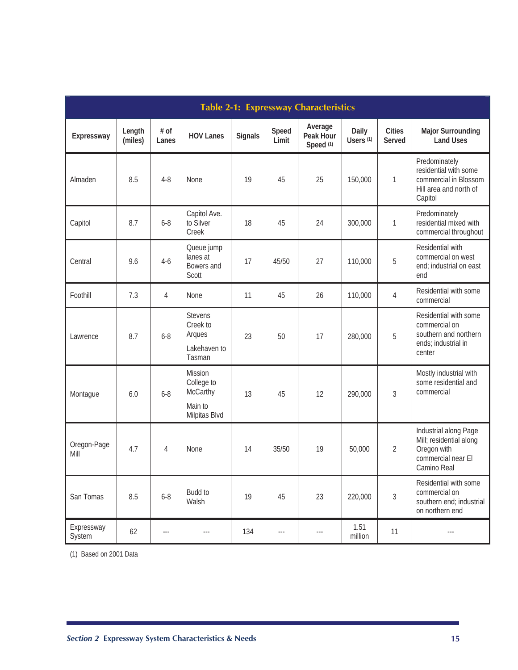| <b>Table 2-1: Expressway Characteristics</b> |                   |                |                                                                |                |                      |                                   |                               |                         |                                                                                                      |
|----------------------------------------------|-------------------|----------------|----------------------------------------------------------------|----------------|----------------------|-----------------------------------|-------------------------------|-------------------------|------------------------------------------------------------------------------------------------------|
| Expressway                                   | Length<br>(miles) | # of<br>Lanes  | <b>HOV Lanes</b>                                               | <b>Signals</b> | Speed<br>Limit       | Average<br>Peak Hour<br>Speed (1) | Daily<br>Users <sup>(1)</sup> | <b>Cities</b><br>Served | <b>Major Surrounding</b><br><b>Land Uses</b>                                                         |
| Almaden                                      | 8.5               | $4 - 8$        | None                                                           | 19             | 45                   | 25                                | 150,000                       | 1                       | Predominately<br>residential with some<br>commercial in Blossom<br>Hill area and north of<br>Capitol |
| Capitol                                      | 8.7               | $6 - 8$        | Capitol Ave.<br>to Silver<br>Creek                             | 18             | 45                   | 24                                | 300,000                       | $\mathbf{1}$            | Predominately<br>residential mixed with<br>commercial throughout                                     |
| Central                                      | 9.6               | $4-6$          | Queue jump<br>lanes at<br>Bowers and<br>Scott                  | 17             | 45/50                | 27                                | 110,000                       | 5                       | Residential with<br>commercial on west<br>end; industrial on east<br>end                             |
| Foothill                                     | 7.3               | 4              | None                                                           | 11             | 45                   | 26                                | 110,000                       | $\overline{4}$          | Residential with some<br>commercial                                                                  |
| Lawrence                                     | 8.7               | $6 - 8$        | <b>Stevens</b><br>Creek to<br>Arques<br>Lakehaven to<br>Tasman | 23             | 50                   | 17                                | 280,000                       | 5                       | Residential with some<br>commercial on<br>southern and northern<br>ends; industrial in<br>center     |
| Montague                                     | 6.0               | $6 - 8$        | Mission<br>College to<br>McCarthy<br>Main to<br>Milpitas Blvd  | 13             | 45                   | 12                                | 290,000                       | $\mathfrak{Z}$          | Mostly industrial with<br>some residential and<br>commercial                                         |
| Oregon-Page<br>Mill                          | 4.7               | $\overline{4}$ | <b>None</b>                                                    | 14             | 35/50                | 19                                | 50,000                        | $\overline{2}$          | Industrial along Page<br>Mill; residential along<br>Oregon with<br>commercial near El<br>Camino Real |
| San Tomas                                    | 8.5               | $6 - 8$        | <b>Budd to</b><br>Walsh                                        | 19             | 45                   | 23                                | 220,000                       | $\mathfrak{Z}$          | Residential with some<br>commercial on<br>southern end; industrial<br>on northern end                |
| Expressway<br>System                         | 62                | $\cdots$       | ---                                                            | 134            | $\scriptstyle\cdots$ | $---$                             | 1.51<br>million               | 11                      | $---$                                                                                                |

(1) Based on 2001 Data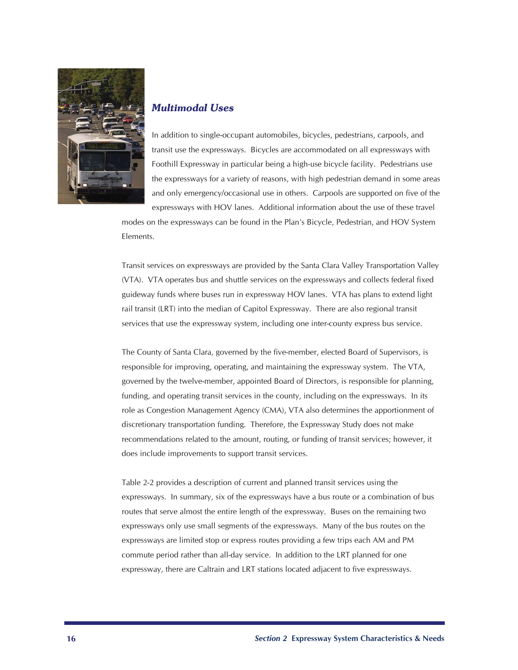

# *Multimodal Uses*

In addition to single-occupant automobiles, bicycles, pedestrians, carpools, and transit use the expressways. Bicycles are accommodated on all expressways with Foothill Expressway in particular being a high-use bicycle facility. Pedestrians use the expressways for a variety of reasons, with high pedestrian demand in some areas and only emergency/occasional use in others. Carpools are supported on five of the expressways with HOV lanes. Additional information about the use of these travel

modes on the expressways can be found in the Plan's Bicycle, Pedestrian, and HOV System Elements.

Transit services on expressways are provided by the Santa Clara Valley Transportation Valley (VTA). VTA operates bus and shuttle services on the expressways and collects federal fixed guideway funds where buses run in expressway HOV lanes. VTA has plans to extend light rail transit (LRT) into the median of Capitol Expressway. There are also regional transit services that use the expressway system, including one inter-county express bus service.

The County of Santa Clara, governed by the five-member, elected Board of Supervisors, is responsible for improving, operating, and maintaining the expressway system. The VTA, governed by the twelve-member, appointed Board of Directors, is responsible for planning, funding, and operating transit services in the county, including on the expressways. In its role as Congestion Management Agency (CMA), VTA also determines the apportionment of discretionary transportation funding. Therefore, the Expressway Study does not make recommendations related to the amount, routing, or funding of transit services; however, it does include improvements to support transit services.

Table 2-2 provides a description of current and planned transit services using the expressways. In summary, six of the expressways have a bus route or a combination of bus routes that serve almost the entire length of the expressway. Buses on the remaining two expressways only use small segments of the expressways. Many of the bus routes on the expressways are limited stop or express routes providing a few trips each AM and PM commute period rather than all-day service. In addition to the LRT planned for one expressway, there are Caltrain and LRT stations located adjacent to five expressways.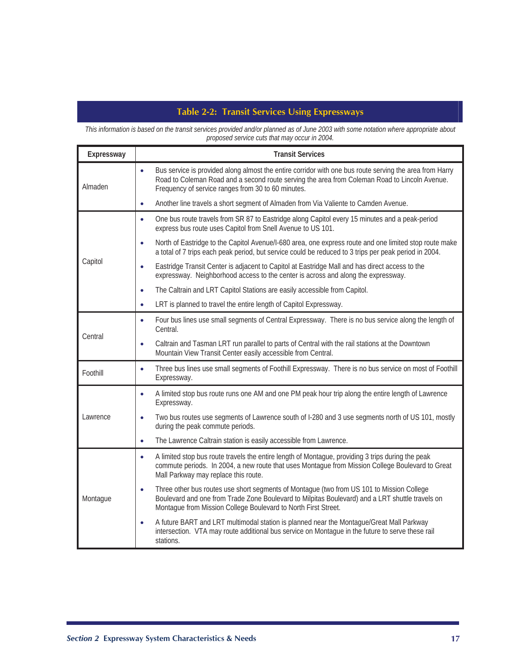# **Table 2-2: Transit Services Using Expressways**

*This information is based on the transit services provided and/or planned as of June 2003 with some notation where appropriate about proposed service cuts that may occur in 2004.*

| Expressway | <b>Transit Services</b>                                                                                                                                                                                                                                                     |
|------------|-----------------------------------------------------------------------------------------------------------------------------------------------------------------------------------------------------------------------------------------------------------------------------|
| Almaden    | Bus service is provided along almost the entire corridor with one bus route serving the area from Harry<br>$\bullet$<br>Road to Coleman Road and a second route serving the area from Coleman Road to Lincoln Avenue.<br>Frequency of service ranges from 30 to 60 minutes. |
|            | Another line travels a short segment of Almaden from Via Valiente to Camden Avenue.<br>$\bullet$                                                                                                                                                                            |
| Capitol    | One bus route travels from SR 87 to Eastridge along Capitol every 15 minutes and a peak-period<br>$\bullet$<br>express bus route uses Capitol from Snell Avenue to US 101.                                                                                                  |
|            | North of Eastridge to the Capitol Avenue/I-680 area, one express route and one limited stop route make<br>$\bullet$<br>a total of 7 trips each peak period, but service could be reduced to 3 trips per peak period in 2004.                                                |
|            | Eastridge Transit Center is adjacent to Capitol at Eastridge Mall and has direct access to the<br>$\bullet$<br>expressway. Neighborhood access to the center is across and along the expressway.                                                                            |
|            | The Caltrain and LRT Capitol Stations are easily accessible from Capitol.<br>$\bullet$                                                                                                                                                                                      |
|            | LRT is planned to travel the entire length of Capitol Expressway.<br>$\bullet$                                                                                                                                                                                              |
| Central    | Four bus lines use small segments of Central Expressway. There is no bus service along the length of<br>$\bullet$<br>Central.                                                                                                                                               |
|            | Caltrain and Tasman LRT run parallel to parts of Central with the rail stations at the Downtown<br>$\bullet$<br>Mountain View Transit Center easily accessible from Central.                                                                                                |
| Foothill   | Three bus lines use small segments of Foothill Expressway. There is no bus service on most of Foothill<br>$\bullet$<br>Expressway.                                                                                                                                          |
| Lawrence   | A limited stop bus route runs one AM and one PM peak hour trip along the entire length of Lawrence<br>$\bullet$<br>Expressway.                                                                                                                                              |
|            | Two bus routes use segments of Lawrence south of I-280 and 3 use segments north of US 101, mostly<br>$\bullet$<br>during the peak commute periods.                                                                                                                          |
|            | The Lawrence Caltrain station is easily accessible from Lawrence.<br>$\bullet$                                                                                                                                                                                              |
| Montague   | A limited stop bus route travels the entire length of Montague, providing 3 trips during the peak<br>$\bullet$<br>commute periods. In 2004, a new route that uses Montague from Mission College Boulevard to Great<br>Mall Parkway may replace this route.                  |
|            | Three other bus routes use short segments of Montague (two from US 101 to Mission College<br>$\bullet$<br>Boulevard and one from Trade Zone Boulevard to Milpitas Boulevard) and a LRT shuttle travels on<br>Montague from Mission College Boulevard to North First Street. |
|            | A future BART and LRT multimodal station is planned near the Montague/Great Mall Parkway<br>$\bullet$<br>intersection. VTA may route additional bus service on Montague in the future to serve these rail<br>stations.                                                      |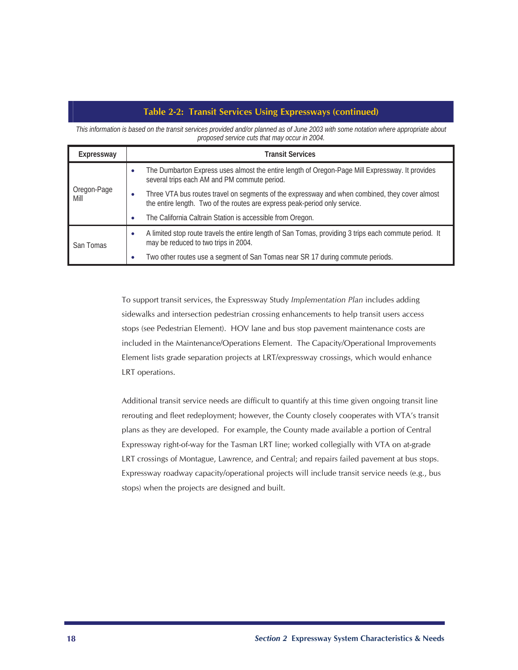## **Table 2-2: Transit Services Using Expressways (continued)**

*This information is based on the transit services provided and/or planned as of June 2003 with some notation where appropriate about proposed service cuts that may occur in 2004.*

| Expressway          | <b>Transit Services</b>                                                                                                                                                      |  |  |  |
|---------------------|------------------------------------------------------------------------------------------------------------------------------------------------------------------------------|--|--|--|
| Oregon-Page<br>Mill | The Dumbarton Express uses almost the entire length of Oregon-Page Mill Expressway. It provides<br>several trips each AM and PM commute period.                              |  |  |  |
|                     | Three VTA bus routes travel on segments of the expressway and when combined, they cover almost<br>the entire length. Two of the routes are express peak-period only service. |  |  |  |
|                     | The California Caltrain Station is accessible from Oregon.                                                                                                                   |  |  |  |
| San Tomas           | A limited stop route travels the entire length of San Tomas, providing 3 trips each commute period. It<br>$\bullet$<br>may be reduced to two trips in 2004.                  |  |  |  |
|                     | Two other routes use a segment of San Tomas near SR 17 during commute periods.                                                                                               |  |  |  |

To support transit services, the Expressway Study *Implementation Plan* includes adding sidewalks and intersection pedestrian crossing enhancements to help transit users access stops (see Pedestrian Element). HOV lane and bus stop pavement maintenance costs are included in the Maintenance/Operations Element. The Capacity/Operational Improvements Element lists grade separation projects at LRT/expressway crossings, which would enhance LRT operations.

Additional transit service needs are difficult to quantify at this time given ongoing transit line rerouting and fleet redeployment; however, the County closely cooperates with VTA's transit plans as they are developed. For example, the County made available a portion of Central Expressway right-of-way for the Tasman LRT line; worked collegially with VTA on at-grade LRT crossings of Montague, Lawrence, and Central; and repairs failed pavement at bus stops. Expressway roadway capacity/operational projects will include transit service needs (e.g., bus stops) when the projects are designed and built.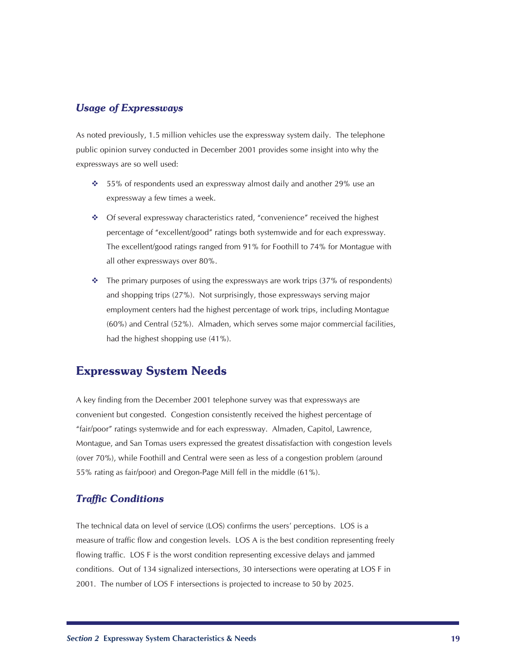#### *Usage of Expressways*

As noted previously, 1.5 million vehicles use the expressway system daily. The telephone public opinion survey conducted in December 2001 provides some insight into why the expressways are so well used:

- 55% of respondents used an expressway almost daily and another 29% use an expressway a few times a week.
- Of several expressway characteristics rated, "convenience" received the highest percentage of "excellent/good" ratings both systemwide and for each expressway. The excellent/good ratings ranged from 91% for Foothill to 74% for Montague with all other expressways over 80%.
- $\cdot \cdot$  The primary purposes of using the expressways are work trips (37% of respondents) and shopping trips (27%). Not surprisingly, those expressways serving major employment centers had the highest percentage of work trips, including Montague (60%) and Central (52%). Almaden, which serves some major commercial facilities, had the highest shopping use (41%).

# Expressway System Needs

A key finding from the December 2001 telephone survey was that expressways are convenient but congested. Congestion consistently received the highest percentage of "fair/poor" ratings systemwide and for each expressway. Almaden, Capitol, Lawrence, Montague, and San Tomas users expressed the greatest dissatisfaction with congestion levels (over 70%), while Foothill and Central were seen as less of a congestion problem (around 55% rating as fair/poor) and Oregon-Page Mill fell in the middle (61%).

## *Traffic Conditions*

The technical data on level of service (LOS) confirms the users' perceptions. LOS is a measure of traffic flow and congestion levels. LOS A is the best condition representing freely flowing traffic. LOS F is the worst condition representing excessive delays and jammed conditions. Out of 134 signalized intersections, 30 intersections were operating at LOS F in 2001. The number of LOS F intersections is projected to increase to 50 by 2025.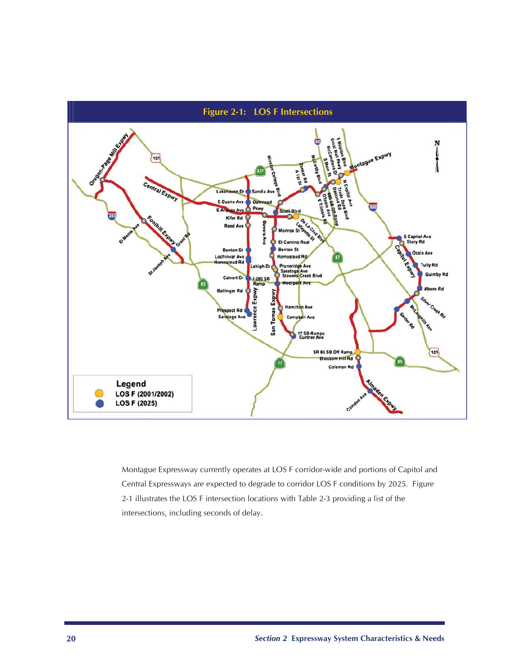

Montague Expressway currently operates at LOS F corridor-wide and portions of Capitol and Central Expressways are expected to degrade to corridor LOS F conditions by 2025. Figure 2-1 illustrates the LOS F intersection locations with Table 2-3 providing a list of the intersections, including seconds of delay.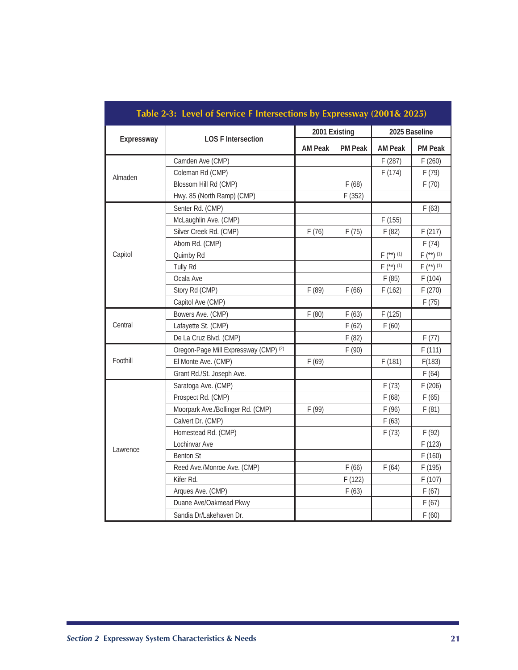| Table 2-3: Level of Service F Intersections by Expressway (2001& 2025) |                                       |                |                |                |              |  |
|------------------------------------------------------------------------|---------------------------------------|----------------|----------------|----------------|--------------|--|
|                                                                        |                                       | 2001 Existing  |                | 2025 Baseline  |              |  |
| Expressway                                                             | <b>LOS F Intersection</b>             | <b>AM Peak</b> | <b>PM Peak</b> | <b>AM Peak</b> | PM Peak      |  |
|                                                                        | Camden Ave (CMP)                      |                |                | F (287)        | F(260)       |  |
| Almaden                                                                | Coleman Rd (CMP)                      |                |                | F(174)         | F (79)       |  |
|                                                                        | Blossom Hill Rd (CMP)                 |                | F(68)          |                | F(70)        |  |
|                                                                        | Hwy. 85 (North Ramp) (CMP)            |                | F (352)        |                |              |  |
|                                                                        | Senter Rd. (CMP)                      |                |                |                | F(63)        |  |
|                                                                        | McLaughlin Ave. (CMP)                 |                |                | F(155)         |              |  |
|                                                                        | Silver Creek Rd. (CMP)                | F(76)          | F(75)          | F(82)          | F(217)       |  |
|                                                                        | Aborn Rd. (CMP)                       |                |                |                | F(74)        |  |
| Capitol                                                                | Quimby Rd                             |                |                | $F$ (**) (1)   | $F$ (**) (1) |  |
|                                                                        | Tully Rd                              |                |                | $F$ (**) (1)   | $F$ (**) (1) |  |
|                                                                        | Ocala Ave                             |                |                | F(85)          | F(104)       |  |
|                                                                        | Story Rd (CMP)                        | F (89)         | F(66)          | F(162)         | F (270)      |  |
|                                                                        | Capitol Ave (CMP)                     |                |                |                | F(75)        |  |
|                                                                        | Bowers Ave. (CMP)                     | F(80)          | F(63)          | F(125)         |              |  |
| Central                                                                | Lafayette St. (CMP)                   |                | F(62)          | F(60)          |              |  |
|                                                                        | De La Cruz Blvd. (CMP)                |                | F(82)          |                | F(77)        |  |
|                                                                        | Oregon-Page Mill Expressway (CMP) (2) |                | F (90)         |                | F(111)       |  |
| Foothill                                                               | El Monte Ave. (CMP)                   | F(69)          |                | F(181)         | F(183)       |  |
|                                                                        | Grant Rd./St. Joseph Ave.             |                |                |                | F(64)        |  |
|                                                                        | Saratoga Ave. (CMP)                   |                |                | F(73)          | F (206)      |  |
|                                                                        | Prospect Rd. (CMP)                    |                |                | F(68)          | F(65)        |  |
|                                                                        | Moorpark Ave./Bollinger Rd. (CMP)     | F (99)         |                | F (96)         | F(81)        |  |
|                                                                        | Calvert Dr. (CMP)                     |                |                | F(63)          |              |  |
|                                                                        | Homestead Rd. (CMP)                   |                |                | F(73)          | F (92)       |  |
| Lawrence                                                               | Lochinvar Ave                         |                |                |                | F (123)      |  |
|                                                                        | <b>Benton St</b>                      |                |                |                | F(160)       |  |
|                                                                        | Reed Ave./Monroe Ave. (CMP)           |                | F(66)          | F(64)          | F (195)      |  |
|                                                                        | Kifer Rd.                             |                | F (122)        |                | F (107)      |  |
|                                                                        | Arques Ave. (CMP)                     |                | F(63)          |                | F(67)        |  |
|                                                                        | Duane Ave/Oakmead Pkwy                |                |                |                | F(67)        |  |
|                                                                        | Sandia Dr/Lakehaven Dr.               |                |                |                | F(60)        |  |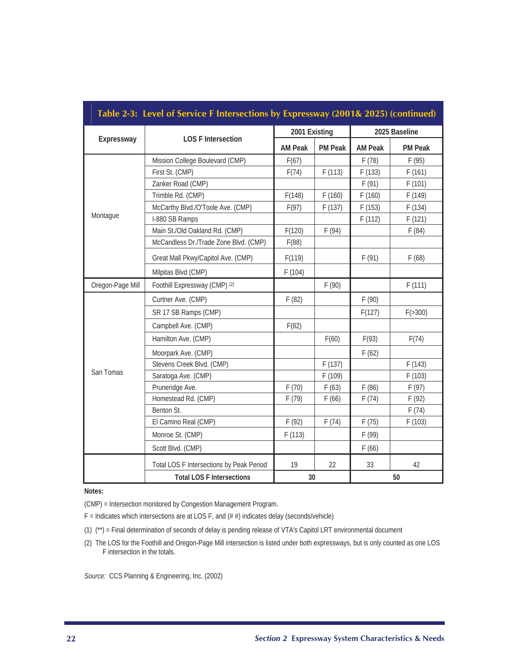| Table 2-3: Level of Service F Intersections by Expressway (2001& 2025) (continued) |                                          |                |                |                |                |  |
|------------------------------------------------------------------------------------|------------------------------------------|----------------|----------------|----------------|----------------|--|
|                                                                                    |                                          | 2001 Existing  |                | 2025 Baseline  |                |  |
| Expressway                                                                         | <b>LOS F Intersection</b>                | <b>AM Peak</b> | <b>PM Peak</b> | <b>AM Peak</b> | <b>PM Peak</b> |  |
|                                                                                    | Mission College Boulevard (CMP)          | F(67)          |                | F (78)         | F (95)         |  |
|                                                                                    | First St. (CMP)                          | F(74)          | F(113)         | F(133)         | F(161)         |  |
|                                                                                    | Zanker Road (CMP)                        |                |                | F(91)          | F(101)         |  |
|                                                                                    | Trimble Rd. (CMP)                        | F(148)         | F(160)         | F(160)         | F (149)        |  |
|                                                                                    | McCarthy Blvd./O'Toole Ave. (CMP)        | F(97)          | F(137)         | F(153)         | F(134)         |  |
| Montague                                                                           | I-880 SB Ramps                           |                |                | F (112)        | F(121)         |  |
|                                                                                    | Main St./Old Oakland Rd. (CMP)           | F(120)         | F(94)          |                | F(84)          |  |
|                                                                                    | McCandless Dr./Trade Zone Blvd. (CMP)    | F(88)          |                |                |                |  |
|                                                                                    | Great Mall Pkwy/Capitol Ave. (CMP)       | F(119)         |                | F (91)         | F(68)          |  |
|                                                                                    | Milpitas Blvd (CMP)                      | F(104)         |                |                |                |  |
| Oregon-Page Mill                                                                   | Foothill Expressway (CMP) (2)            |                | F (90)         |                | F(111)         |  |
|                                                                                    | Curtner Ave. (CMP)                       | F(82)          |                | F (90)         |                |  |
|                                                                                    | SR 17 SB Ramps (CMP)                     |                |                | F(127)         | F( > 300)      |  |
|                                                                                    | Campbell Ave. (CMP)                      | F(82)          |                |                |                |  |
|                                                                                    | Hamilton Ave. (CMP)                      |                | F(60)          | F(93)          | F(74)          |  |
|                                                                                    | Moorpark Ave. (CMP)                      |                |                | F(62)          |                |  |
|                                                                                    | Stevens Creek Blvd. (CMP)                |                | F (137)        |                | F(143)         |  |
| San Tomas                                                                          | Saratoga Ave. (CMP)                      |                | F (109)        |                | F (103)        |  |
|                                                                                    | Pruneridge Ave.                          | F(70)          | F(63)          | F(86)          | F (97)         |  |
|                                                                                    | Homestead Rd. (CMP)                      | F (79)         | F(66)          | F(74)          | F (92)         |  |
|                                                                                    | Benton St.                               |                |                |                | F(74)          |  |
|                                                                                    | El Camino Real (CMP)                     | F (92)         | F(74)          | F(75)          | F (103)        |  |
|                                                                                    | Monroe St. (CMP)                         | F(113)         |                | F (99)         |                |  |
|                                                                                    | Scott Blvd. (CMP)                        |                |                | F(66)          |                |  |
|                                                                                    | Total LOS F Intersections by Peak Period | 19             | 22             | 33             | 42             |  |
|                                                                                    | <b>Total LOS F Intersections</b>         | 30             |                | 50             |                |  |

**Notes:** 

(CMP) = Intersection monitored by Congestion Management Program.

 $F =$  Indicates which intersections are at LOS F, and  $(\# \#)$  indicates delay (seconds/vehicle)

- (1) (\*\*) = Final determination of seconds of delay is pending release of VTA's Capitol LRT environmental document
- (2) The LOS for the Foothill and Oregon-Page Mill intersection is listed under both expressways, but is only counted as one LOS F intersection in the totals.

*Source:* CCS Planning & Engineering, Inc. (2002)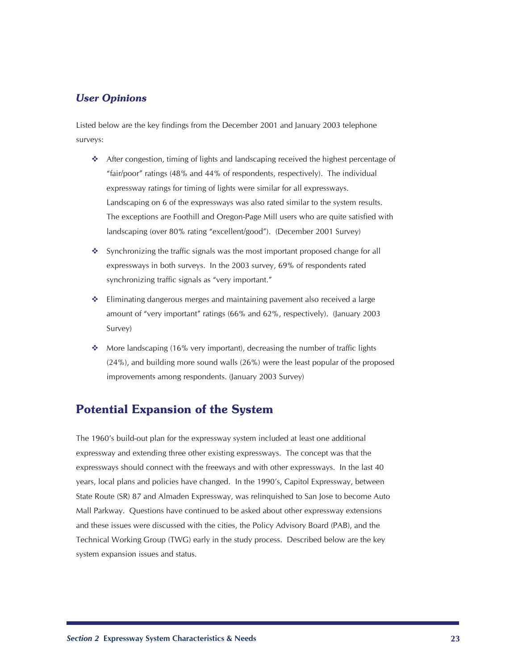#### *User Opinions*

Listed below are the key findings from the December 2001 and January 2003 telephone surveys:

- After congestion, timing of lights and landscaping received the highest percentage of "fair/poor" ratings (48% and 44% of respondents, respectively). The individual expressway ratings for timing of lights were similar for all expressways. Landscaping on 6 of the expressways was also rated similar to the system results. The exceptions are Foothill and Oregon-Page Mill users who are quite satisfied with landscaping (over 80% rating "excellent/good"). (December 2001 Survey)
- Synchronizing the traffic signals was the most important proposed change for all expressways in both surveys. In the 2003 survey, 69% of respondents rated synchronizing traffic signals as "very important."
- $\cdot$  Eliminating dangerous merges and maintaining pavement also received a large amount of "very important" ratings (66% and 62%, respectively). (January 2003 Survey)
- More landscaping (16% very important), decreasing the number of traffic lights (24%), and building more sound walls (26%) were the least popular of the proposed improvements among respondents. (January 2003 Survey)

# Potential Expansion of the System

The 1960's build-out plan for the expressway system included at least one additional expressway and extending three other existing expressways. The concept was that the expressways should connect with the freeways and with other expressways. In the last 40 years, local plans and policies have changed. In the 1990's, Capitol Expressway, between State Route (SR) 87 and Almaden Expressway, was relinquished to San Jose to become Auto Mall Parkway. Questions have continued to be asked about other expressway extensions and these issues were discussed with the cities, the Policy Advisory Board (PAB), and the Technical Working Group (TWG) early in the study process. Described below are the key system expansion issues and status.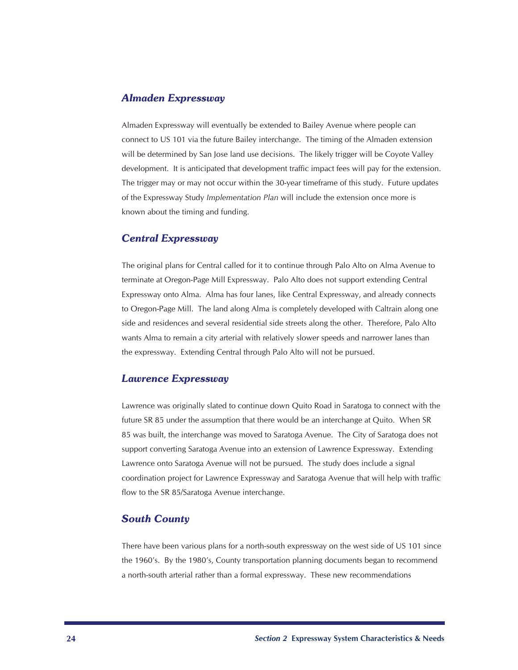#### *Almaden Expressway*

Almaden Expressway will eventually be extended to Bailey Avenue where people can connect to US 101 via the future Bailey interchange. The timing of the Almaden extension will be determined by San Jose land use decisions. The likely trigger will be Coyote Valley development. It is anticipated that development traffic impact fees will pay for the extension. The trigger may or may not occur within the 30-year timeframe of this study. Future updates of the Expressway Study *Implementation Plan* will include the extension once more is known about the timing and funding.

#### *Central Expressway*

The original plans for Central called for it to continue through Palo Alto on Alma Avenue to terminate at Oregon-Page Mill Expressway. Palo Alto does not support extending Central Expressway onto Alma. Alma has four lanes, like Central Expressway, and already connects to Oregon-Page Mill. The land along Alma is completely developed with Caltrain along one side and residences and several residential side streets along the other. Therefore, Palo Alto wants Alma to remain a city arterial with relatively slower speeds and narrower lanes than the expressway. Extending Central through Palo Alto will not be pursued.

#### *Lawrence Expressway*

Lawrence was originally slated to continue down Quito Road in Saratoga to connect with the future SR 85 under the assumption that there would be an interchange at Quito. When SR 85 was built, the interchange was moved to Saratoga Avenue. The City of Saratoga does not support converting Saratoga Avenue into an extension of Lawrence Expressway. Extending Lawrence onto Saratoga Avenue will not be pursued. The study does include a signal coordination project for Lawrence Expressway and Saratoga Avenue that will help with traffic flow to the SR 85/Saratoga Avenue interchange.

#### *South County*

There have been various plans for a north-south expressway on the west side of US 101 since the 1960's. By the 1980's, County transportation planning documents began to recommend a north-south arterial rather than a formal expressway. These new recommendations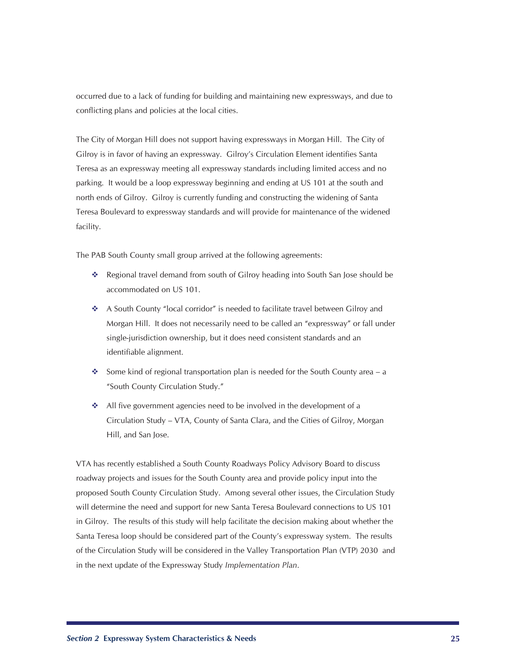occurred due to a lack of funding for building and maintaining new expressways, and due to conflicting plans and policies at the local cities.

The City of Morgan Hill does not support having expressways in Morgan Hill. The City of Gilroy is in favor of having an expressway. Gilroy's Circulation Element identifies Santa Teresa as an expressway meeting all expressway standards including limited access and no parking. It would be a loop expressway beginning and ending at US 101 at the south and north ends of Gilroy. Gilroy is currently funding and constructing the widening of Santa Teresa Boulevard to expressway standards and will provide for maintenance of the widened facility.

The PAB South County small group arrived at the following agreements:

- \* Regional travel demand from south of Gilroy heading into South San Jose should be accommodated on US 101.
- A South County "local corridor" is needed to facilitate travel between Gilroy and Morgan Hill. It does not necessarily need to be called an "expressway" or fall under single-jurisdiction ownership, but it does need consistent standards and an identifiable alignment.
- Some kind of regional transportation plan is needed for the South County area  $-$  a "South County Circulation Study."
- $\triangleleft$  All five government agencies need to be involved in the development of a Circulation Study – VTA, County of Santa Clara, and the Cities of Gilroy, Morgan Hill, and San Jose.

VTA has recently established a South County Roadways Policy Advisory Board to discuss roadway projects and issues for the South County area and provide policy input into the proposed South County Circulation Study. Among several other issues, the Circulation Study will determine the need and support for new Santa Teresa Boulevard connections to US 101 in Gilroy. The results of this study will help facilitate the decision making about whether the Santa Teresa loop should be considered part of the County's expressway system. The results of the Circulation Study will be considered in the Valley Transportation Plan (VTP) 2030 and in the next update of the Expressway Study *Implementation Plan*.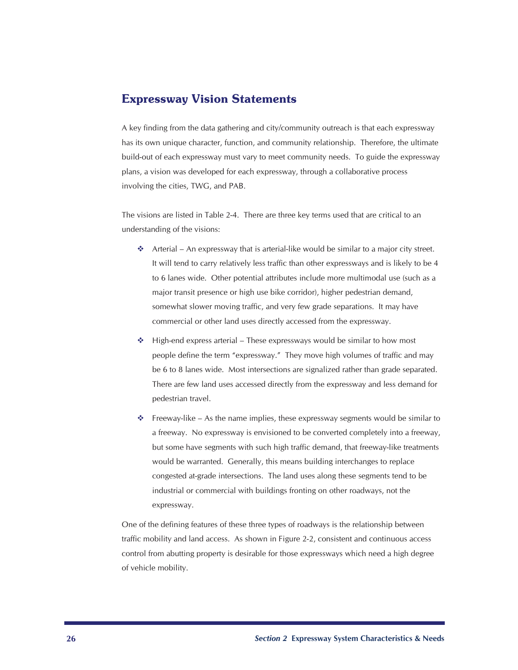# Expressway Vision Statements

A key finding from the data gathering and city/community outreach is that each expressway has its own unique character, function, and community relationship. Therefore, the ultimate build-out of each expressway must vary to meet community needs. To guide the expressway plans, a vision was developed for each expressway, through a collaborative process involving the cities, TWG, and PAB.

The visions are listed in Table 2-4. There are three key terms used that are critical to an understanding of the visions:

- $\triangleleft$  Arterial An expressway that is arterial-like would be similar to a major city street. It will tend to carry relatively less traffic than other expressways and is likely to be 4 to 6 lanes wide. Other potential attributes include more multimodal use (such as a major transit presence or high use bike corridor), higher pedestrian demand, somewhat slower moving traffic, and very few grade separations. It may have commercial or other land uses directly accessed from the expressway.
- $\triangleleft$  High-end express arterial These expressways would be similar to how most people define the term "expressway." They move high volumes of traffic and may be 6 to 8 lanes wide. Most intersections are signalized rather than grade separated. There are few land uses accessed directly from the expressway and less demand for pedestrian travel.
- $\cdot \cdot$  Freeway-like As the name implies, these expressway segments would be similar to a freeway. No expressway is envisioned to be converted completely into a freeway, but some have segments with such high traffic demand, that freeway-like treatments would be warranted. Generally, this means building interchanges to replace congested at-grade intersections. The land uses along these segments tend to be industrial or commercial with buildings fronting on other roadways, not the expressway.

One of the defining features of these three types of roadways is the relationship between traffic mobility and land access. As shown in Figure 2-2, consistent and continuous access control from abutting property is desirable for those expressways which need a high degree of vehicle mobility.